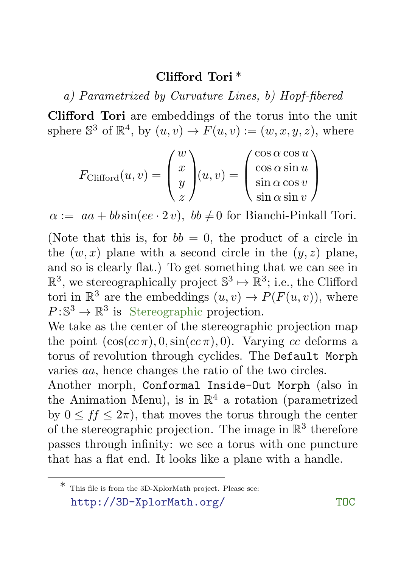## Clifford Tori \*

a) Parametrized by Curvature Lines, b) Hopf-fibered

Clifford Tori are embeddings of the torus into the unit sphere  $\mathbb{S}^3$  of  $\mathbb{R}^4$ , by  $(u, v) \to F(u, v) := (w, x, y, z)$ , where

$$
F_{\text{Clifford}}(u, v) = \begin{pmatrix} w \\ x \\ y \\ z \end{pmatrix} (u, v) = \begin{pmatrix} \cos \alpha \cos u \\ \cos \alpha \sin u \\ \sin \alpha \cos v \\ \sin \alpha \sin v \end{pmatrix}
$$

 $\alpha := aa + bb \sin(ee \cdot 2 v), \, bb \neq 0 \text{ for Bianchi-Pinkall Tori.}$ 

(Note that this is, for  $bb = 0$ , the product of a circle in the  $(w, x)$  plane with a second circle in the  $(y, z)$  plane, and so is clearly flat.) To get something that we can see in  $\mathbb{R}^3$ , we stereographically project  $\mathbb{S}^3 \mapsto \mathbb{R}^3$ ; i.e., the Clifford tori in  $\mathbb{R}^3$  are the embeddings  $(u, v) \to P(F(u, v))$ , where  $P:\mathbb{S}^3\to\mathbb{R}^3$  is Stereographic projection.

We take as the center of the stereographic projection map the point  $(\cos(c\tau), 0, \sin(c\tau), 0)$ . Varying cc deforms a torus of revolution through cyclides. The Default Morph varies aa, hence changes the ratio of the two circles.

Another morph, Conformal Inside-Out Morph (also in the Animation Menu), is in  $\mathbb{R}^4$  a rotation (parametrized by  $0 \leq ff \leq 2\pi$ , that moves the torus through the center of the stereographic projection. The image in  $\mathbb{R}^3$  therefore passes through infinity: we see a torus with one puncture that has a flat end. It looks like a plane with a handle.

 $\ast$  This file is from the 3D-XplorMath project. Please see: http://3D-XplorMath.org/ TOC